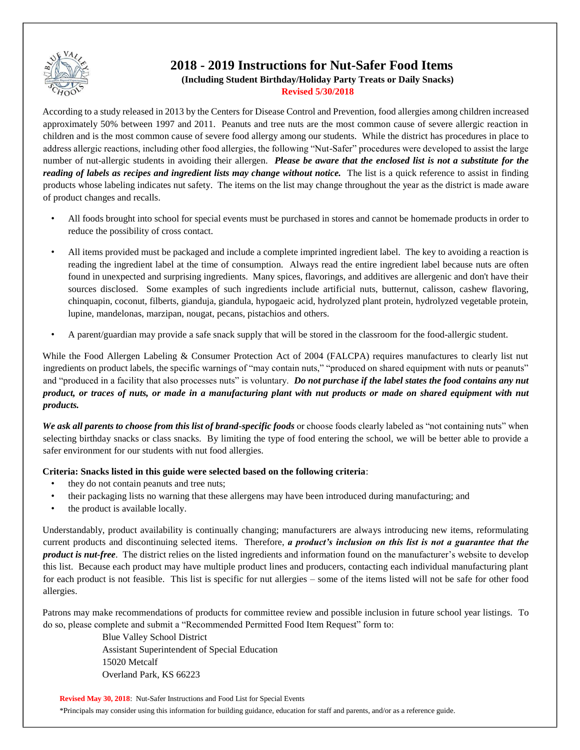

# **2018 - 2019 Instructions for Nut-Safer Food Items (Including Student Birthday/Holiday Party Treats or Daily Snacks) Revised 5/30/2018**

According to a study released in 2013 by the Centers for Disease Control and Prevention, food allergies among children increased approximately 50% between 1997 and 2011. Peanuts and tree nuts are the most common cause of severe allergic reaction in children and is the most common cause of severe food allergy among our students. While the district has procedures in place to address allergic reactions, including other food allergies, the following "Nut-Safer" procedures were developed to assist the large number of nut-allergic students in avoiding their allergen. *Please be aware that the enclosed list is not a substitute for the reading of labels as recipes and ingredient lists may change without notice.* The list is a quick reference to assist in finding products whose labeling indicates nut safety. The items on the list may change throughout the year as the district is made aware of product changes and recalls.

- All foods brought into school for special events must be purchased in stores and cannot be homemade products in order to reduce the possibility of cross contact.
- All items provided must be packaged and include a complete imprinted ingredient label. The key to avoiding a reaction is reading the ingredient label at the time of consumption. Always read the entire ingredient label because nuts are often found in unexpected and surprising ingredients. Many spices, flavorings, and additives are allergenic and don't have their sources disclosed. Some examples of such ingredients include artificial nuts, butternut, calisson, cashew flavoring, chinquapin, coconut, filberts, gianduja, giandula, hypogaeic acid, hydrolyzed plant protein, hydrolyzed vegetable protein, lupine, mandelonas, marzipan, nougat, pecans, pistachios and others.
- A parent/guardian may provide a safe snack supply that will be stored in the classroom for the food-allergic student.

While the Food Allergen Labeling & Consumer Protection Act of 2004 (FALCPA) requires manufactures to clearly list nut ingredients on product labels, the specific warnings of "may contain nuts," "produced on shared equipment with nuts or peanuts" and "produced in a facility that also processes nuts" is voluntary. *Do not purchase if the label states the food contains any nut product, or traces of nuts, or made in a manufacturing plant with nut products or made on shared equipment with nut products.*

*We ask all parents to choose from this list of brand-specific foods* or choose foods clearly labeled as "not containing nuts" when selecting birthday snacks or class snacks. By limiting the type of food entering the school, we will be better able to provide a safer environment for our students with nut food allergies.

#### **Criteria: Snacks listed in this guide were selected based on the following criteria**:

- they do not contain peanuts and tree nuts;
- their packaging lists no warning that these allergens may have been introduced during manufacturing; and
- the product is available locally.

Understandably, product availability is continually changing; manufacturers are always introducing new items, reformulating current products and discontinuing selected items. Therefore, *a product's inclusion on this list is not a guarantee that the product is nut-free*. The district relies on the listed ingredients and information found on the manufacturer's website to develop this list. Because each product may have multiple product lines and producers, contacting each individual manufacturing plant for each product is not feasible. This list is specific for nut allergies – some of the items listed will not be safe for other food allergies.

Patrons may make recommendations of products for committee review and possible inclusion in future school year listings. To do so, please complete and submit a "Recommended Permitted Food Item Request" form to:

> Blue Valley School District Assistant Superintendent of Special Education 15020 Metcalf Overland Park, KS 66223

**Revised May 30, 2018**: Nut-Safer Instructions and Food List for Special Events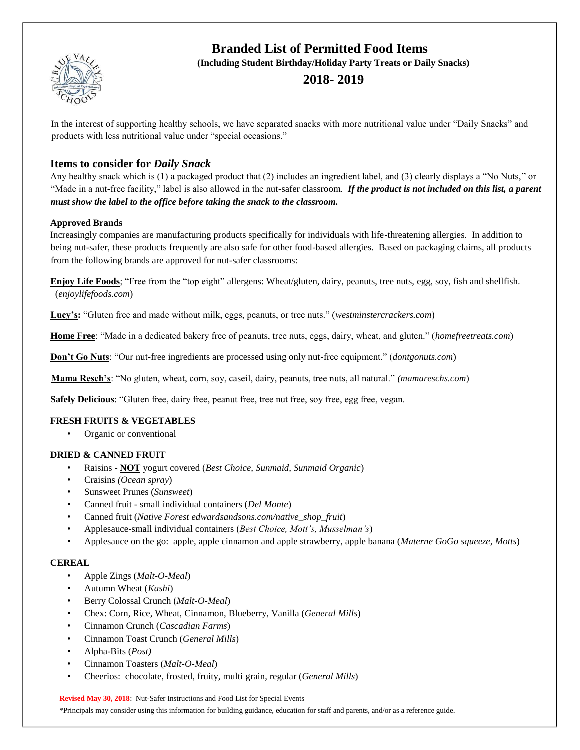

# **Branded List of Permitted Food Items**

**(Including Student Birthday/Holiday Party Treats or Daily Snacks)**

## **2018- 2019**

In the interest of supporting healthy schools, we have separated snacks with more nutritional value under "Daily Snacks" and products with less nutritional value under "special occasions."

### **Items to consider for** *Daily Snack*

Any healthy snack which is (1) a packaged product that (2) includes an ingredient label, and (3) clearly displays a "No Nuts," or "Made in a nut-free facility," label is also allowed in the nut-safer classroom. *If the product is not included on this list, a parent must show the label to the office before taking the snack to the classroom.*

#### **Approved Brands**

Increasingly companies are manufacturing products specifically for individuals with life-threatening allergies. In addition to being nut-safer, these products frequently are also safe for other food-based allergies. Based on packaging claims, all products from the following brands are approved for nut-safer classrooms:

**Enjoy Life Foods**; "Free from the "top eight" allergens: Wheat/gluten, dairy, peanuts, tree nuts, egg, soy, fish and shellfish. (*enjoylifefoods.com*)

**Lucy's:** "Gluten free and made without milk, eggs, peanuts, or tree nuts." (*westminstercrackers.com*)

**Home Free**: "Made in a dedicated bakery free of peanuts, tree nuts, eggs, dairy, wheat, and gluten." (*homefreetreats.com*)

**Don't Go Nuts**: "Our nut-free ingredients are processed using only nut-free equipment." (*dontgonuts.com*)

**Mama Resch's**: "No gluten, wheat, corn, soy, caseil, dairy, peanuts, tree nuts, all natural." *(mamareschs.com*)

**Safely Delicious**: "Gluten free, dairy free, peanut free, tree nut free, soy free, egg free, vegan.

#### **FRESH FRUITS & VEGETABLES**

• Organic or conventional

#### **DRIED & CANNED FRUIT**

- Raisins **NOT** yogurt covered (*Best Choice, Sunmaid, Sunmaid Organic*)
- Craisins *(Ocean spray*)
- Sunsweet Prunes (*Sunsweet*)
- Canned fruit small individual containers (*Del Monte*)
- Canned fruit (*Native Forest edwardsandsons.com/native\_shop\_fruit*)
- Applesauce-small individual containers (*Best Choice, Mott's, Musselman's*)
- Applesauce on the go: apple, apple cinnamon and apple strawberry, apple banana (*Materne GoGo squeeze, Motts*)

#### **CEREAL**

- Apple Zings (*Malt-O-Meal*)
- Autumn Wheat (*Kashi*)
- Berry Colossal Crunch (*Malt-O-Meal*)
- Chex: Corn, Rice, Wheat, Cinnamon, Blueberry, Vanilla (*General Mills*)
- Cinnamon Crunch (*Cascadian Farms*)
- Cinnamon Toast Crunch (*General Mills*)
- Alpha-Bits (*Post)*
- Cinnamon Toasters (*Malt-O-Meal*)
- Cheerios: chocolate, frosted, fruity, multi grain, regular (*General Mills*)

**Revised May 30, 2018**: Nut-Safer Instructions and Food List for Special Events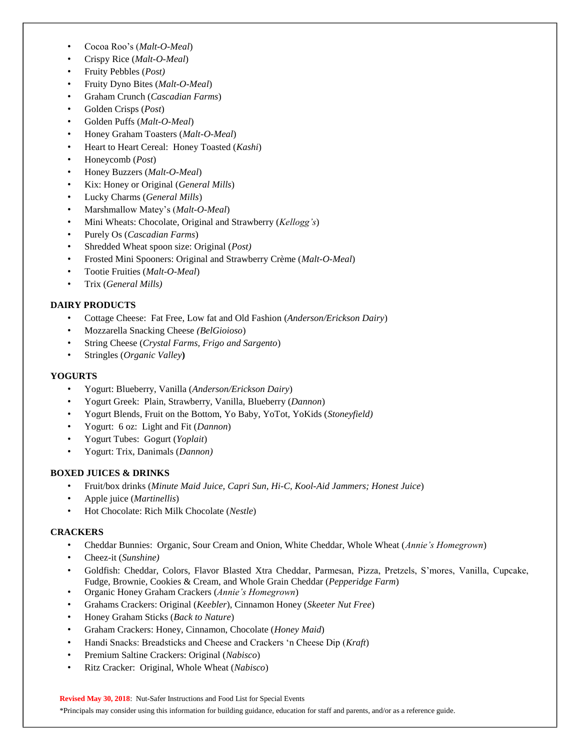- Cocoa Roo's (*Malt-O-Meal*)
- Crispy Rice (*Malt-O-Meal*)
- Fruity Pebbles (*Post)*
- Fruity Dyno Bites (*Malt-O-Meal*)
- Graham Crunch (*Cascadian Farms*)
- Golden Crisps (*Post*)
- Golden Puffs (*Malt-O-Meal*)
- Honey Graham Toasters (*Malt-O-Meal*)
- Heart to Heart Cereal: Honey Toasted (*Kashi*)
- Honeycomb (*Post*)
- Honey Buzzers (*Malt-O-Meal*)
- Kix: Honey or Original (*General Mills*)
- Lucky Charms (*General Mills*)
- Marshmallow Matey's (*Malt-O-Meal*)
- Mini Wheats: Chocolate, Original and Strawberry (*Kellogg's*)
- Purely Os (*Cascadian Farms*)
- Shredded Wheat spoon size: Original (*Post)*
- Frosted Mini Spooners: Original and Strawberry Crème (*Malt-O-Meal*)
- Tootie Fruities (*Malt-O-Meal*)
- Trix (*General Mills)*

#### **DAIRY PRODUCTS**

- Cottage Cheese: Fat Free, Low fat and Old Fashion (*Anderson/Erickson Dairy*)
- Mozzarella Snacking Cheese *(BelGioioso*)
- String Cheese (*Crystal Farms, Frigo and Sargento*)
- Stringles (*Organic Valley***)**

#### **YOGURTS**

- Yogurt: Blueberry, Vanilla (*Anderson/Erickson Dairy*)
- Yogurt Greek: Plain, Strawberry, Vanilla, Blueberry (*Dannon*)
- Yogurt Blends, Fruit on the Bottom, Yo Baby, YoTot, YoKids (*Stoneyfield)*
- Yogurt: 6 oz: Light and Fit (*Dannon*)
- Yogurt Tubes: Gogurt (*Yoplait*)
- Yogurt: Trix, Danimals (*Dannon)*

#### **BOXED JUICES & DRINKS**

- Fruit/box drinks (*Minute Maid Juice, Capri Sun, Hi-C, Kool-Aid Jammers; Honest Juice*)
- Apple juice (*Martinellis*)
- Hot Chocolate: Rich Milk Chocolate (*Nestle*)

#### **CRACKERS**

- Cheddar Bunnies: Organic, Sour Cream and Onion, White Cheddar, Whole Wheat (*Annie's Homegrown*)
- Cheez-it (*Sunshine)*
- Goldfish: Cheddar, Colors, Flavor Blasted Xtra Cheddar, Parmesan, Pizza, Pretzels, S'mores, Vanilla, Cupcake, Fudge, Brownie, Cookies & Cream, and Whole Grain Cheddar (*Pepperidge Farm*)
- Organic Honey Graham Crackers (*Annie's Homegrown*)
- Grahams Crackers: Original (*Keebler*), Cinnamon Honey (*Skeeter Nut Free*)
- Honey Graham Sticks (*Back to Nature*)
- Graham Crackers: Honey, Cinnamon, Chocolate (*Honey Maid*)
- Handi Snacks: Breadsticks and Cheese and Crackers 'n Cheese Dip (*Kraft*)
- Premium Saltine Crackers: Original (*Nabisco*)
- Ritz Cracker: Original, Whole Wheat (*Nabisco*)

**Revised May 30, 2018**: Nut-Safer Instructions and Food List for Special Events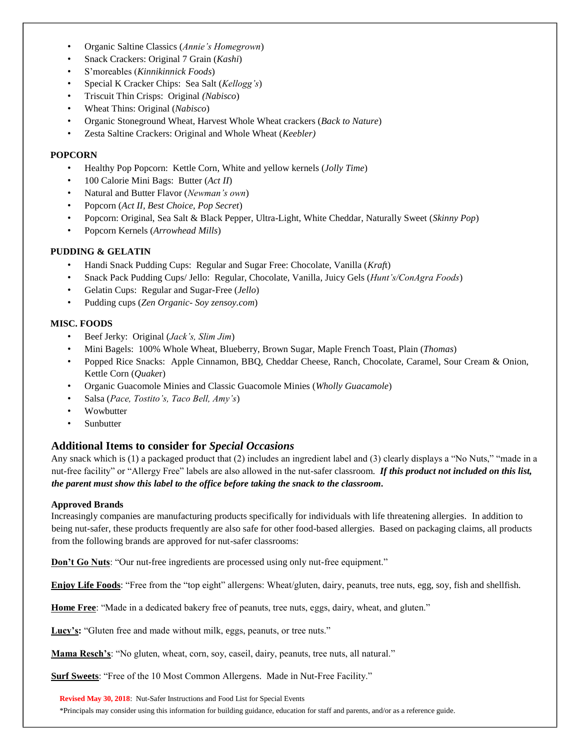- Organic Saltine Classics (*Annie's Homegrown*)
- Snack Crackers: Original 7 Grain (*Kashi*)
- S'moreables (*Kinnikinnick Foods*)
- Special K Cracker Chips: Sea Salt (*Kellogg's*)
- Triscuit Thin Crisps: Original *(Nabisco*)
- Wheat Thins: Original (*Nabisco*)
- Organic Stoneground Wheat, Harvest Whole Wheat crackers (*Back to Nature*)
- Zesta Saltine Crackers: Original and Whole Wheat (*Keebler)*

#### **POPCORN**

- Healthy Pop Popcorn: Kettle Corn, White and yellow kernels (*Jolly Time*)
- 100 Calorie Mini Bags: Butter (*Act II*)
- Natural and Butter Flavor (*Newman's own*)
- Popcorn (*Act II, Best Choice, Pop Secret*)
- Popcorn: Original, Sea Salt & Black Pepper, Ultra-Light, White Cheddar, Naturally Sweet (*Skinny Pop*)
- Popcorn Kernels (*Arrowhead Mills*)

#### **PUDDING & GELATIN**

- Handi Snack Pudding Cups: Regular and Sugar Free: Chocolate, Vanilla (*Kraf*t)
- Snack Pack Pudding Cups/ Jello: Regular, Chocolate, Vanilla, Juicy Gels (*Hunt's/ConAgra Foods*)
- Gelatin Cups: Regular and Sugar-Free (*Jello*)
- Pudding cups (*Zen Organic Soy zensoy.com*)

#### **MISC. FOODS**

- Beef Jerky: Original (*Jack's, Slim Jim*)
- Mini Bagels: 100% Whole Wheat, Blueberry, Brown Sugar, Maple French Toast, Plain (*Thomas*)
- Popped Rice Snacks: Apple Cinnamon, BBQ, Cheddar Cheese, Ranch, Chocolate, Caramel, Sour Cream & Onion, Kettle Corn (*Quake*r)
- Organic Guacomole Minies and Classic Guacomole Minies (*Wholly Guacamole*)
- Salsa (*Pace, Tostito's, Taco Bell, Amy's*)
- **Wowbutter**
- **Sunbutter**

# **Additional Items to consider for** *Special Occasions*

Any snack which is (1) a packaged product that (2) includes an ingredient label and (3) clearly displays a "No Nuts," "made in a nut-free facility" or "Allergy Free" labels are also allowed in the nut-safer classroom. *If this product not included on this list, the parent must show this label to the office before taking the snack to the classroom.*

#### **Approved Brands**

Increasingly companies are manufacturing products specifically for individuals with life threatening allergies. In addition to being nut-safer, these products frequently are also safe for other food-based allergies. Based on packaging claims, all products from the following brands are approved for nut-safer classrooms:

**Don't Go Nuts**: "Our nut-free ingredients are processed using only nut-free equipment."

**Enjoy Life Foods**: "Free from the "top eight" allergens: Wheat/gluten, dairy, peanuts, tree nuts, egg, soy, fish and shellfish.

**Home Free**: "Made in a dedicated bakery free of peanuts, tree nuts, eggs, dairy, wheat, and gluten."

**Lucy's:** "Gluten free and made without milk, eggs, peanuts, or tree nuts."

**Mama Resch's**: "No gluten, wheat, corn, soy, caseil, dairy, peanuts, tree nuts, all natural."

**Surf Sweets**: "Free of the 10 Most Common Allergens. Made in Nut-Free Facility."

**Revised May 30, 2018**: Nut-Safer Instructions and Food List for Special Events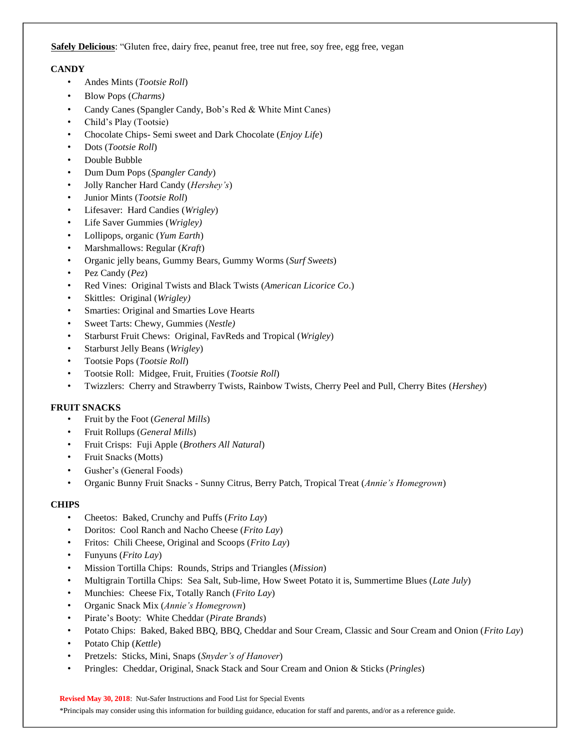**Safely Delicious**: "Gluten free, dairy free, peanut free, tree nut free, soy free, egg free, vegan

#### **CANDY**

- Andes Mints (*Tootsie Roll*)
- Blow Pops (*Charms)*
- Candy Canes (Spangler Candy, Bob's Red & White Mint Canes)
- Child's Play (Tootsie)
- Chocolate Chips- Semi sweet and Dark Chocolate (*Enjoy Life*)
- Dots (*Tootsie Roll*)
- Double Bubble
- Dum Dum Pops (*Spangler Candy*)
- Jolly Rancher Hard Candy (*Hershey's*)
- Junior Mints (*Tootsie Roll*)
- Lifesaver: Hard Candies (*Wrigley*)
- Life Saver Gummies (*Wrigley)*
- Lollipops, organic (*Yum Earth*)
- Marshmallows: Regular (*Kraft*)
- Organic jelly beans, Gummy Bears, Gummy Worms (*Surf Sweets*)
- Pez Candy (*Pez*)
- Red Vines: Original Twists and Black Twists (*American Licorice Co*.)
- Skittles: Original (*Wrigley)*
- Smarties: Original and Smarties Love Hearts
- Sweet Tarts: Chewy, Gummies (*Nestle)*
- Starburst Fruit Chews: Original, FavReds and Tropical (*Wrigley*)
- Starburst Jelly Beans (*Wrigley*)
- Tootsie Pops (*Tootsie Roll*)
- Tootsie Roll: Midgee, Fruit, Fruities (*Tootsie Roll*)
- Twizzlers: Cherry and Strawberry Twists, Rainbow Twists, Cherry Peel and Pull, Cherry Bites (*Hershey*)

#### **FRUIT SNACKS**

- Fruit by the Foot (*General Mills*)
- Fruit Rollups (*General Mills*)
- Fruit Crisps: Fuji Apple (*Brothers All Natural*)
- Fruit Snacks (Motts)
- Gusher's (General Foods)
- Organic Bunny Fruit Snacks Sunny Citrus, Berry Patch, Tropical Treat (*Annie's Homegrown*)

#### **CHIPS**

- Cheetos: Baked, Crunchy and Puffs (*Frito Lay*)
- Doritos: Cool Ranch and Nacho Cheese (*Frito Lay*)
- Fritos: Chili Cheese, Original and Scoops (*Frito Lay*)
- Funyuns (*Frito Lay*)
- Mission Tortilla Chips: Rounds, Strips and Triangles (*Mission*)
- Multigrain Tortilla Chips: Sea Salt, Sub-lime, How Sweet Potato it is, Summertime Blues (*Late July*)
- Munchies: Cheese Fix, Totally Ranch (*Frito Lay*)
- Organic Snack Mix (*Annie's Homegrown*)
- Pirate's Booty: White Cheddar (*Pirate Brands*)
- Potato Chips: Baked, Baked BBQ, BBQ, Cheddar and Sour Cream, Classic and Sour Cream and Onion (*Frito Lay*)
- Potato Chip (*Kettle*)
- Pretzels: Sticks, Mini, Snaps (*Snyder's of Hanover*)
- Pringles: Cheddar, Original, Snack Stack and Sour Cream and Onion & Sticks (*Pringles*)

**Revised May 30, 2018**: Nut-Safer Instructions and Food List for Special Events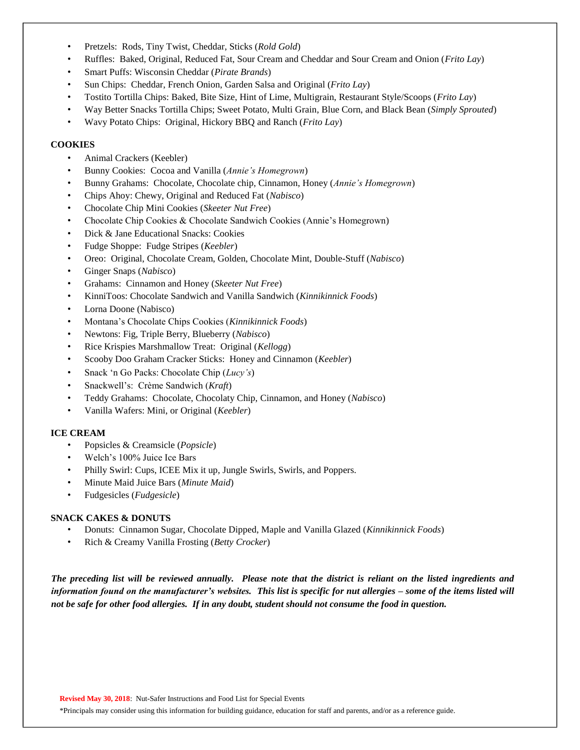- Pretzels: Rods, Tiny Twist, Cheddar, Sticks (*Rold Gold*)
- Ruffles: Baked, Original, Reduced Fat, Sour Cream and Cheddar and Sour Cream and Onion (*Frito Lay*)
- Smart Puffs: Wisconsin Cheddar (*Pirate Brands*)
- Sun Chips: Cheddar, French Onion, Garden Salsa and Original (*Frito Lay*)
- Tostito Tortilla Chips: Baked, Bite Size, Hint of Lime, Multigrain, Restaurant Style/Scoops (*Frito Lay*)
- Way Better Snacks Tortilla Chips; Sweet Potato, Multi Grain, Blue Corn, and Black Bean (*Simply Sprouted*)
- Wavy Potato Chips: Original, Hickory BBQ and Ranch (*Frito Lay*)

#### **COOKIES**

- Animal Crackers (Keebler)
- Bunny Cookies: Cocoa and Vanilla (*Annie's Homegrown*)
- Bunny Grahams: Chocolate, Chocolate chip, Cinnamon, Honey (*Annie's Homegrown*)
- Chips Ahoy: Chewy, Original and Reduced Fat (*Nabisco*)
- Chocolate Chip Mini Cookies (*Skeeter Nut Free*)
- Chocolate Chip Cookies & Chocolate Sandwich Cookies (Annie's Homegrown)
- Dick & Jane Educational Snacks: Cookies
- Fudge Shoppe: Fudge Stripes (*Keebler*)
- Oreo: Original, Chocolate Cream, Golden, Chocolate Mint, Double-Stuff (*Nabisco*)
- Ginger Snaps (*Nabisco*)
- Grahams: Cinnamon and Honey (*Skeeter Nut Free*)
- KinniToos: Chocolate Sandwich and Vanilla Sandwich (*Kinnikinnick Foods*)
- Lorna Doone (Nabisco)
- Montana's Chocolate Chips Cookies (*Kinnikinnick Foods*)
- Newtons: Fig, Triple Berry, Blueberry (*Nabisco*)
- Rice Krispies Marshmallow Treat: Original (*Kellogg*)
- Scooby Doo Graham Cracker Sticks: Honey and Cinnamon (*Keebler*)
- Snack 'n Go Packs: Chocolate Chip (*Lucy's*)
- Snackwell's: Crème Sandwich (*Kraft*)
- Teddy Grahams: Chocolate, Chocolaty Chip, Cinnamon, and Honey (*Nabisco*)
- Vanilla Wafers: Mini, or Original (*Keebler*)

#### **ICE CREAM**

- Popsicles & Creamsicle (*Popsicle*)
- Welch's 100% Juice Ice Bars
- Philly Swirl: Cups, ICEE Mix it up, Jungle Swirls, Swirls, and Poppers.
- Minute Maid Juice Bars (*Minute Maid*)
- Fudgesicles (*Fudgesicle*)

#### **SNACK CAKES & DONUTS**

- Donuts: Cinnamon Sugar, Chocolate Dipped, Maple and Vanilla Glazed (*Kinnikinnick Foods*)
- Rich & Creamy Vanilla Frosting (*Betty Crocker*)

*The preceding list will be reviewed annually. Please note that the district is reliant on the listed ingredients and information found on the manufacturer's websites. This list is specific for nut allergies – some of the items listed will not be safe for other food allergies. If in any doubt, student should not consume the food in question.*

**Revised May 30, 2018**: Nut-Safer Instructions and Food List for Special Events